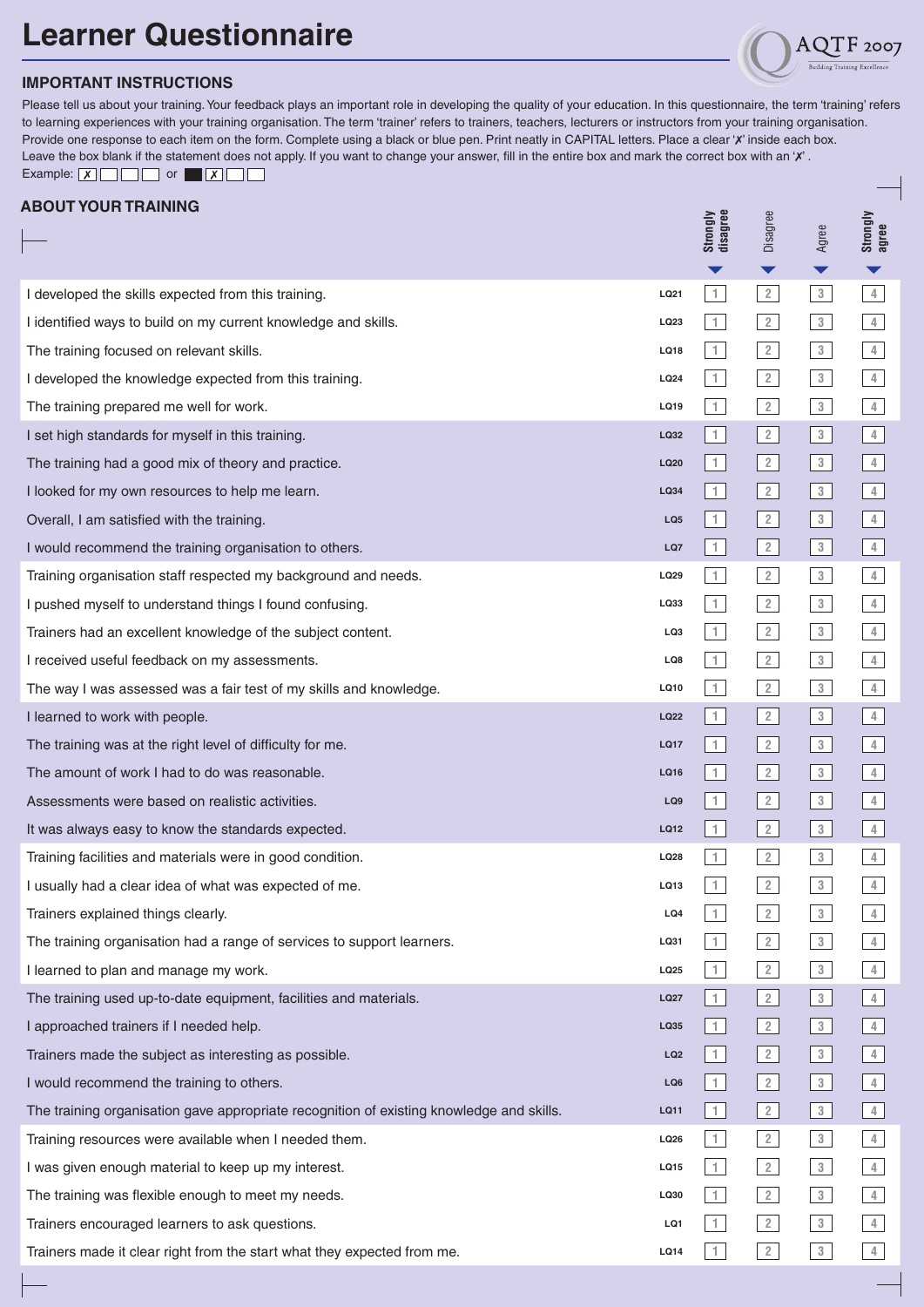## **Learner Questionnaire**



 $F$  2007

Please tell us about your training. Your feedback plays an important role in developing the quality of your education. In this questionnaire, the term 'training' refers to learning experiences with your training organisation. The term 'trainer' refers to trainers, teachers, lecturers or instructors from your training organisation. Provide one response to each item on the form. Complete using a black or blue pen. Print neatly in CAPITAL letters. Place a clear 'X' inside each box. Leave the box blank if the statement does not apply. If you want to change your answer, fill in the entire box and mark the correct box with an 'X'. Example:  $X \Box \Box \Box$  or  $X \Box \Box$ 

|  | ABOUT YOUR TRAINING |  |
|--|---------------------|--|

| ADUU I IUUN INAII1IIVU                                                                   |                 | <b>Strongly</b><br>disagree | Disagree                       | Agree                | Strongly<br>agree |
|------------------------------------------------------------------------------------------|-----------------|-----------------------------|--------------------------------|----------------------|-------------------|
|                                                                                          |                 | ▼                           | ▼                              | $\blacktriangledown$ |                   |
| I developed the skills expected from this training.                                      | LQ21            | $\mathbf{1}$                | 2                              | $3 -$                | $\overline{4}$    |
| I identified ways to build on my current knowledge and skills.                           | LQ23            | $\mathbf{1}$                | $\overline{2}$                 | $3\phantom{.0}$      | $\frac{4}{2}$     |
| The training focused on relevant skills.                                                 | LQ18            | $\mathbf{1}$                | $\overline{2}$                 | $3 -$                | $\overline{4}$    |
| I developed the knowledge expected from this training.                                   | LQ24            | 1                           | $\overline{2}$                 | $3 -$                | $\frac{4}{3}$     |
| The training prepared me well for work.                                                  | LQ19            | 1                           | $\overline{2}$                 | $3 -$                | $\overline{4}$    |
| I set high standards for myself in this training.                                        | LQ32            | 1                           | $\vert$ 2                      | 3                    | $\frac{4}{3}$     |
| The training had a good mix of theory and practice.                                      | LQ20            | 1                           | $\sqrt{2}$                     | 3 <sup>3</sup>       | $4\,$             |
| I looked for my own resources to help me learn.                                          | LQ34            | $\vert$ 1                   | $\boxed{2}$                    | 3                    | $\frac{4}{3}$     |
| Overall, I am satisfied with the training.                                               | LQ <sub>5</sub> | 1                           | $\sqrt{2}$                     | 3                    | $\frac{4}{2}$     |
| I would recommend the training organisation to others.                                   | LQ7             | 1                           | 2                              | 3                    | $\frac{4}{3}$     |
| Training organisation staff respected my background and needs.                           | LQ29            | 1                           | 2                              | $3 -$                | $4\,$             |
| I pushed myself to understand things I found confusing.                                  | LQ33            | 1                           | $\overline{2}$                 | $3 -$                | $4\,$             |
| Trainers had an excellent knowledge of the subject content.                              | LQ3             | 1                           | $\overline{2}$                 | $3\phantom{.0}$      | $\overline{4}$    |
| I received useful feedback on my assessments.                                            | LQ8             | 1                           | $\overline{2}$                 | $3 -$                | $\frac{4}{1}$     |
| The way I was assessed was a fair test of my skills and knowledge.                       | LQ10            | 1                           | $\overline{2}$                 | $3 -$                | $\overline{4}$    |
| I learned to work with people.                                                           | LQ22            | 1                           | $\boxed{2}$                    | 3                    | $\sqrt{4}$        |
| The training was at the right level of difficulty for me.                                | <b>LQ17</b>     | 1                           | $\vert$ 2                      | 3                    | $\sqrt{4}$        |
| The amount of work I had to do was reasonable.                                           | LQ16            | 1                           | $\vert$ 2                      | 3                    | $\frac{4}{1}$     |
| Assessments were based on realistic activities.                                          | LQ9             | 1                           | $\vert$ 2                      | 3                    | $\sqrt{4}$        |
| It was always easy to know the standards expected.                                       | LQ12            | $\uparrow$                  | $\boxed{2}$                    | 3 <sup>3</sup>       | $\sqrt{4}$        |
| Training facilities and materials were in good condition.                                | LQ28            | 1                           | $\overline{2}$                 | $3 -$                | $\frac{4}{3}$     |
| I usually had a clear idea of what was expected of me.                                   | LQ13            | $\mathbf{1}$                | $\overline{2}$                 | $3\,$                | $\overline{4}$    |
| Trainers explained things clearly.                                                       | LQ4             | $\mathbf{1}$                | $\overline{2}$                 | $3\phantom{.0}$      | 4                 |
| The training organisation had a range of services to support learners.                   | LQ31            | $\mathbf{1}$                | $\overline{2}$                 | $3\phantom{.0}$      | $\frac{4}{3}$     |
| I learned to plan and manage my work.                                                    | LQ25            | 1                           | 2                              | $3 -$                | $\frac{4}{3}$     |
| The training used up-to-date equipment, facilities and materials.                        | <b>LQ27</b>     | 1                           | $\left\lfloor 2 \right\rfloor$ | 3 <sup>3</sup>       | 4                 |
| I approached trainers if I needed help.                                                  | LQ35            | $\vert$ 1                   | $\boxed{2}$                    | $\sqrt{3}$           | $\frac{4}{3}$     |
| Trainers made the subject as interesting as possible.                                    | LQ <sub>2</sub> | 1                           | 2                              | 3                    | $\overline{4}$    |
| I would recommend the training to others.                                                | LQ6             | 1                           | $\boxed{2}$                    | $\sqrt{3}$           | $\frac{4}{1}$     |
| The training organisation gave appropriate recognition of existing knowledge and skills. | LQ11            | 1                           | $\vert$ 2                      | 3                    | $\overline{4}$    |
| Training resources were available when I needed them.                                    | LQ26            | 1                           | 2                              | $3 -$                | $4\,$             |
| I was given enough material to keep up my interest.                                      | LQ15            | 1                           | 2                              | 3                    | $\frac{4}{2}$     |
| The training was flexible enough to meet my needs.                                       | LQ30            | 1                           | 2                              | $3 -$                | $\overline{4}$    |
| Trainers encouraged learners to ask questions.                                           | LQ1             | 1                           | 2                              | 3                    | $\frac{4}{2}$     |
| Trainers made it clear right from the start what they expected from me.                  | LQ14            | 1                           | 2                              | 3                    | 4                 |